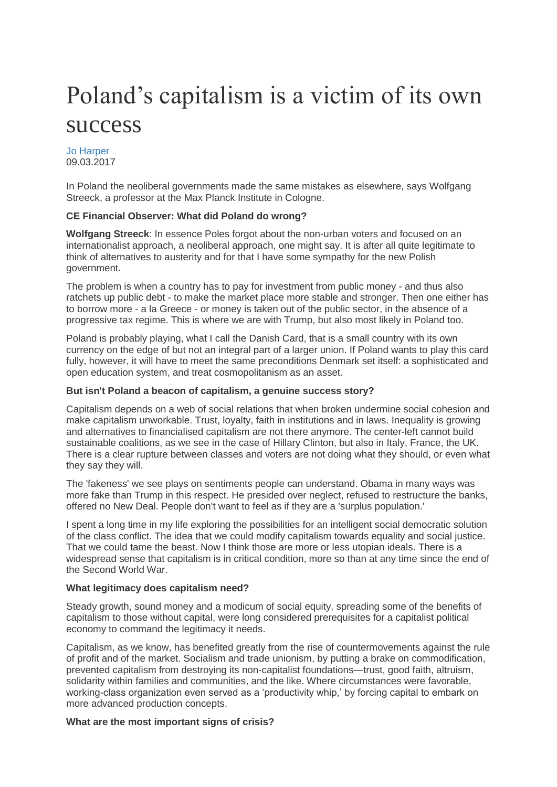# Poland's capitalism is a victim of its own success

[Jo Harper](http://www.financialobserver.eu/author/jo-harper/) 09.03.2017

In Poland the neoliberal governments made the same mistakes as elsewhere, says Wolfgang Streeck, a professor at the Max Planck Institute in Cologne.

## **CE Financial Observer: What did Poland do wrong?**

**Wolfgang Streeck**: In essence Poles forgot about the non-urban voters and focused on an internationalist approach, a neoliberal approach, one might say. It is after all quite legitimate to think of alternatives to austerity and for that I have some sympathy for the new Polish government.

The problem is when a country has to pay for investment from public money - and thus also ratchets up public debt - to make the market place more stable and stronger. Then one either has to borrow more - a la Greece - or money is taken out of the public sector, in the absence of a progressive tax regime. This is where we are with Trump, but also most likely in Poland too.

Poland is probably playing, what I call the Danish Card, that is a small country with its own currency on the edge of but not an integral part of a larger union. If Poland wants to play this card fully, however, it will have to meet the same preconditions Denmark set itself: a sophisticated and open education system, and treat cosmopolitanism as an asset.

## **But isn't Poland a beacon of capitalism, a genuine success story?**

Capitalism depends on a web of social relations that when broken undermine social cohesion and make capitalism unworkable. Trust, loyalty, faith in institutions and in laws. Inequality is growing and alternatives to financialised capitalism are not there anymore. The center-left cannot build sustainable coalitions, as we see in the case of Hillary Clinton, but also in Italy, France, the UK. There is a clear rupture between classes and voters are not doing what they should, or even what they say they will.

The 'fakeness' we see plays on sentiments people can understand. Obama in many ways was more fake than Trump in this respect. He presided over neglect, refused to restructure the banks, offered no New Deal. People don't want to feel as if they are a 'surplus population.'

I spent a long time in my life exploring the possibilities for an intelligent social democratic solution of the class conflict. The idea that we could modify capitalism towards equality and social justice. That we could tame the beast. Now I think those are more or less utopian ideals. There is a widespread sense that capitalism is in critical condition, more so than at any time since the end of the Second World War.

## **What legitimacy does capitalism need?**

Steady growth, sound money and a modicum of social equity, spreading some of the benefits of capitalism to those without capital, were long considered prerequisites for a capitalist political economy to command the legitimacy it needs.

Capitalism, as we know, has benefited greatly from the rise of countermovements against the rule of profit and of the market. Socialism and trade unionism, by putting a brake on commodification, prevented capitalism from destroying its non-capitalist foundations—trust, good faith, altruism, solidarity within families and communities, and the like. Where circumstances were favorable, working-class organization even served as a 'productivity whip,' by forcing capital to embark on more advanced production concepts.

#### **What are the most important signs of crisis?**